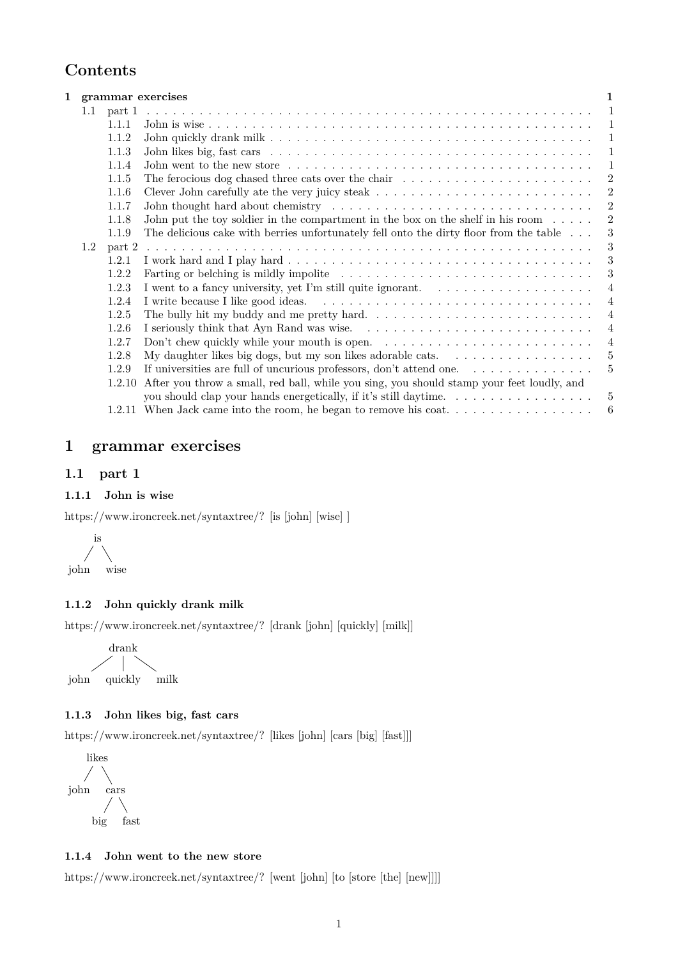# **Contents**

|     |            | 1 grammar exercises                                                                                                                                                                                                            |                |
|-----|------------|--------------------------------------------------------------------------------------------------------------------------------------------------------------------------------------------------------------------------------|----------------|
|     | 1.1 part 1 |                                                                                                                                                                                                                                | -1             |
|     | 1.1.1      |                                                                                                                                                                                                                                | -1             |
|     | 1.1.2      |                                                                                                                                                                                                                                | -1             |
|     | 1.1.3      |                                                                                                                                                                                                                                | 1              |
|     | 1.1.4      | John went to the new store $\dots \dots \dots \dots \dots \dots \dots \dots \dots \dots \dots \dots \dots \dots \dots$                                                                                                         | 1              |
|     | 1.1.5      | The ferocious dog chased three cats over the chair $\dots \dots \dots \dots \dots \dots \dots \dots$                                                                                                                           | $\overline{2}$ |
|     | 1.1.6      |                                                                                                                                                                                                                                | $\overline{2}$ |
|     | 1.1.7      | John thought hard about chemistry enters in the service of the service of the service of the service of the service of the service of the service of the service of the service of the service of the service of the service o | $\overline{2}$ |
|     | 1.1.8      | John put the toy soldier in the compartment in the box on the shelf in his room $\dots$ .                                                                                                                                      | $\overline{2}$ |
|     | 1.1.9      | The delicious cake with berries unfortunately fell onto the dirty floor from the table                                                                                                                                         | 3              |
| 1.2 | part 2     |                                                                                                                                                                                                                                | 3              |
|     | 1.2.1      |                                                                                                                                                                                                                                | 3              |
|     | 1.2.2      |                                                                                                                                                                                                                                | 3              |
|     | 1.2.3      |                                                                                                                                                                                                                                | 4              |
|     | 1.2.4      |                                                                                                                                                                                                                                | $\overline{4}$ |
|     | 1.2.5      | The bully hit my buddy and me pretty hard. $\dots \dots \dots \dots \dots \dots \dots \dots \dots \dots$                                                                                                                       | $\overline{4}$ |
|     | 1.2.6      |                                                                                                                                                                                                                                | $\overline{4}$ |
|     | 1.2.7      | Don't chew quickly while your mouth is open. $\dots \dots \dots \dots \dots \dots \dots \dots \dots \dots$                                                                                                                     | $\overline{4}$ |
|     | 1.2.8      | My daughter likes big dogs, but my son likes adorable cats. $\dots \dots \dots \dots \dots \dots$                                                                                                                              | 5              |
|     | 1.2.9      | If universities are full of uncurious professors, don't attend one. $\dots \dots \dots \dots$                                                                                                                                  | 5              |
|     | 1.2.10     | After you throw a small, red ball, while you sing, you should stamp your feet loudly, and                                                                                                                                      |                |
|     |            | you should clap your hands energetically, if it's still daytime.                                                                                                                                                               | 5              |
|     |            | 1.2.11 When Jack came into the room, he began to remove his coat                                                                                                                                                               | 6              |
|     |            |                                                                                                                                                                                                                                |                |

# <span id="page-0-0"></span>**1 grammar exercises**

# <span id="page-0-1"></span>**1.1 part 1**

### <span id="page-0-2"></span>**1.1.1 John is wise**

[https://www.ironcreek.net/syntaxtree/? \[is \[john\] \[wise\] \]](https://www.ironcreek.net/syntaxtree/? [is [john] [wise] ] )



# <span id="page-0-3"></span>**1.1.2 John quickly drank milk**

[https://www.ironcreek.net/syntaxtree/? \[drank \[john\] \[quickly\] \[milk\]\]](https://www.ironcreek.net/syntaxtree/? [drank [john] [quickly] [milk]] )

$$
\begin{array}{c}\n\text{drank} \\
\downarrow \\
\text{pi}\n\end{array}
$$

### <span id="page-0-4"></span>**1.1.3 John likes big, fast cars**

[https://www.ironcreek.net/syntaxtree/? \[likes \[john\] \[cars \[big\] \[fast\]\]\]](https://www.ironcreek.net/syntaxtree/? [likes [john] [cars [big] [fast]]] )



### <span id="page-0-5"></span>**1.1.4 John went to the new store**

[https://www.ironcreek.net/syntaxtree/? \[went \[john\] \[to \[store \[the\] \[new\]\]\]\]](https://www.ironcreek.net/syntaxtree/? [went [john] [to [store [the] [new]]]] )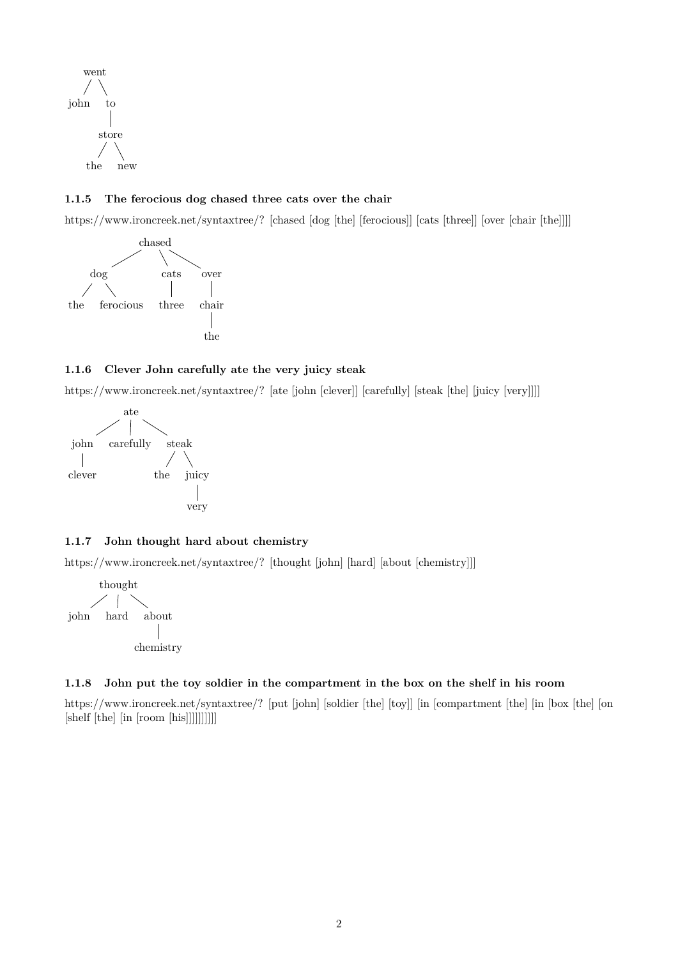

# <span id="page-1-0"></span>**1.1.5 The ferocious dog chased three cats over the chair**

[https://www.ironcreek.net/syntaxtree/? \[chased \[dog \[the\] \[ferocious\]\] \[cats \[three\]\] \[over \[chair \[the\]\]\]\]](https://www.ironcreek.net/syntaxtree/? [chased [dog [the] [ferocious]] [cats [three]] [over [chair [the]]]] )



# <span id="page-1-1"></span>**1.1.6 Clever John carefully ate the very juicy steak**

[https://www.ironcreek.net/syntaxtree/? \[ate \[john \[clever\]\] \[carefully\] \[steak \[the\] \[juicy \[very\]\]\]\]](https://www.ironcreek.net/syntaxtree/? [ate [john [clever]] [carefully] [steak [the] [juicy [very]]]] )



# <span id="page-1-2"></span>**1.1.7 John thought hard about chemistry**

[https://www.ironcreek.net/syntaxtree/? \[thought \[john\] \[hard\] \[about \[chemistry\]\]\]](https://www.ironcreek.net/syntaxtree/? [thought [john] [hard] [about [chemistry]]] )



#### <span id="page-1-3"></span>**1.1.8 John put the toy soldier in the compartment in the box on the shelf in his room**

[https://www.ironcreek.net/syntaxtree/? \[put \[john\] \[soldier \[the\] \[toy\]\] \[in \[compartment \[the\] \[in \[box \[the\] \[on](https://www.ironcreek.net/syntaxtree/? [put [john] [soldier [the] [toy]] [in [compartment [the] [in [box [the] [on [shelf [the] [in [room [his]]]]]]]]]] ) [\[shelf \[the\] \[in \[room \[his\]\]\]\]\]\]\]\]\]\]](https://www.ironcreek.net/syntaxtree/? [put [john] [soldier [the] [toy]] [in [compartment [the] [in [box [the] [on [shelf [the] [in [room [his]]]]]]]]]] )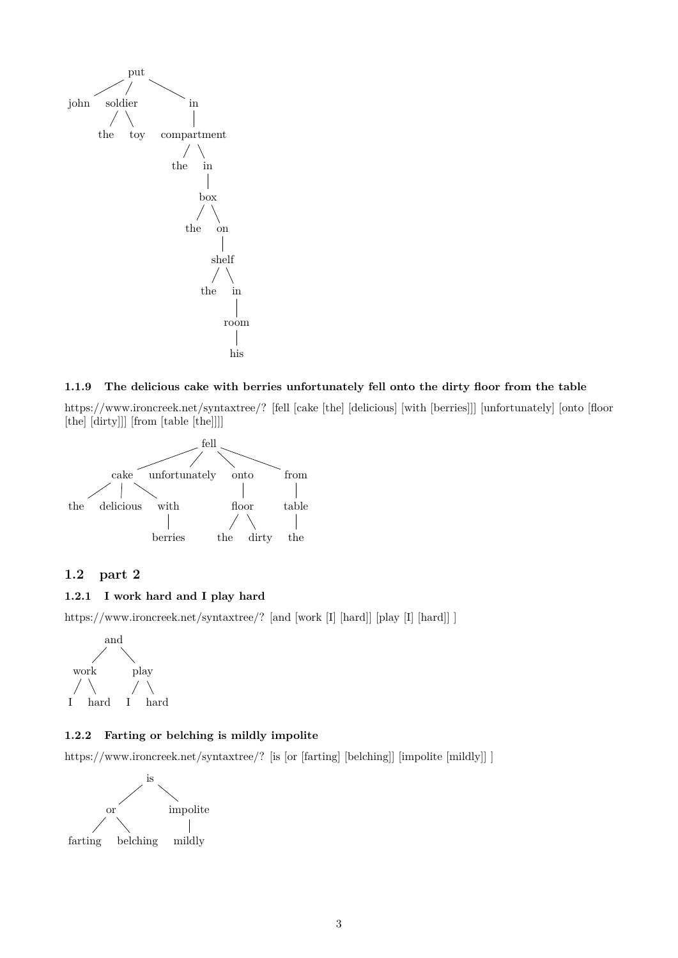

### <span id="page-2-0"></span>**1.1.9 The delicious cake with berries unfortunately fell onto the dirty floor from the table**

[https://www.ironcreek.net/syntaxtree/? \[fell \[cake \[the\] \[delicious\] \[with \[berries\]\]\] \[unfortunately\] \[onto \[floor](https://www.ironcreek.net/syntaxtree/? [fell [cake [the] [delicious] [with [berries]]] [unfortunately] [onto [floor [the] [dirty]]] [from [table [the]]]] ) [\[the\] \[dirty\]\]\] \[from \[table \[the\]\]\]\]](https://www.ironcreek.net/syntaxtree/? [fell [cake [the] [delicious] [with [berries]]] [unfortunately] [onto [floor [the] [dirty]]] [from [table [the]]]] )



# <span id="page-2-1"></span>**1.2 part 2**

# <span id="page-2-2"></span>**1.2.1 I work hard and I play hard**

[https://www.ironcreek.net/syntaxtree/? \[and \[work \[I\] \[hard\]\] \[play \[I\] \[hard\]\] \]](https://www.ironcreek.net/syntaxtree/? [and [work [I] [hard]] [play [I] [hard]] ] )



### <span id="page-2-3"></span>**1.2.2 Farting or belching is mildly impolite**

[https://www.ironcreek.net/syntaxtree/? \[is \[or \[farting\] \[belching\]\] \[impolite \[mildly\]\] \]](https://www.ironcreek.net/syntaxtree/? [is [or [farting] [belching]] [impolite [mildly]] ] )

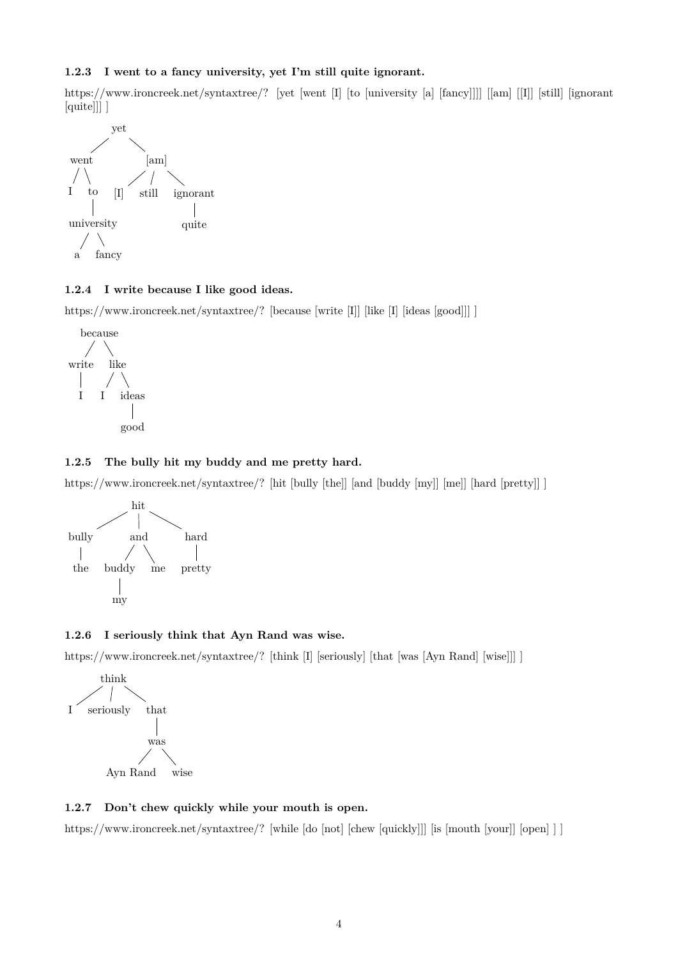### <span id="page-3-0"></span>**1.2.3 I went to a fancy university, yet I'm still quite ignorant.**

[https://www.ironcreek.net/syntaxtree/? \[yet \[went \[I\] \[to \[university \[a\] \[fancy\]\]\]\] \[\[am\] \[\[I\]\] \[still\] \[ignorant](https://www.ironcreek.net/syntaxtree/? [yet [went [I] [to [university [a] [fancy]]]] [{[am]} [{[I]}] [still] [ignorant [quite]]] ] ) [\[quite\]\]\] \]](https://www.ironcreek.net/syntaxtree/? [yet [went [I] [to [university [a] [fancy]]]] [{[am]} [{[I]}] [still] [ignorant [quite]]] ] )



### <span id="page-3-1"></span>**1.2.4 I write because I like good ideas.**

[https://www.ironcreek.net/syntaxtree/? \[because \[write \[I\]\] \[like \[I\] \[ideas \[good\]\]\] \]](https://www.ironcreek.net/syntaxtree/? [because [write [I]] [like [I] [ideas [good]]] ] )



### <span id="page-3-2"></span>**1.2.5 The bully hit my buddy and me pretty hard.**

[https://www.ironcreek.net/syntaxtree/? \[hit \[bully \[the\]\] \[and \[buddy \[my\]\] \[me\]\] \[hard \[pretty\]\] \]](https://www.ironcreek.net/syntaxtree/? [hit [bully [the]] [and [buddy [my]] [me]] [hard [pretty]] ] )



### <span id="page-3-3"></span>**1.2.6 I seriously think that Ayn Rand was wise.**

[https://www.ironcreek.net/syntaxtree/? \[think \[I\] \[seriously\] \[that \[was \[Ayn Rand\] \[wise\]\]\] \]](https://www.ironcreek.net/syntaxtree/? [think [I] [seriously] [that [was [Ayn Rand] [wise]]] ] )



## <span id="page-3-4"></span>**1.2.7 Don't chew quickly while your mouth is open.**

[https://www.ironcreek.net/syntaxtree/? \[while \[do \[not\] \[chew \[quickly\]\]\] \[is \[mouth \[your\]\] \[open\] \] \]](https://www.ironcreek.net/syntaxtree/? [while [do [not] [chew [quickly]]] [is [mouth [your]] [open] ] ] )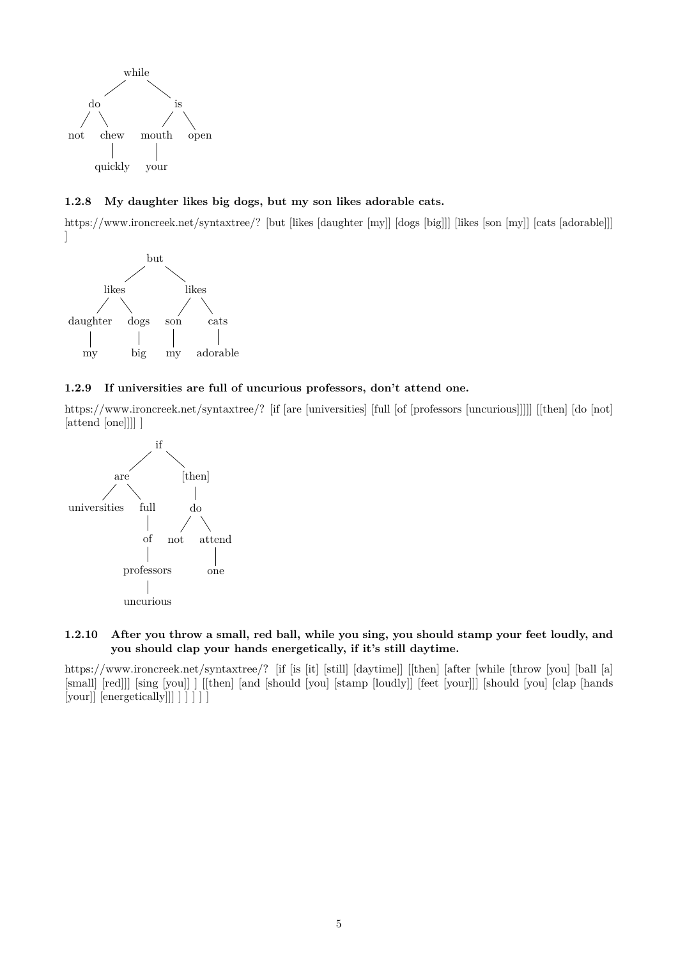

<span id="page-4-0"></span>**1.2.8 My daughter likes big dogs, but my son likes adorable cats.**

[https://www.ironcreek.net/syntaxtree/? \[but \[likes \[daughter \[my\]\] \[dogs \[big\]\]\] \[likes \[son \[my\]\] \[cats \[adorable\]\]\]](https://www.ironcreek.net/syntaxtree/? [but [likes [daughter [my]] [dogs [big]]] [likes [son [my]] [cats [adorable]]] ] ) [\]](https://www.ironcreek.net/syntaxtree/? [but [likes [daughter [my]] [dogs [big]]] [likes [son [my]] [cats [adorable]]] ] )



## <span id="page-4-1"></span>**1.2.9 If universities are full of uncurious professors, don't attend one.**

[https://www.ironcreek.net/syntaxtree/? \[if \[are \[universities\] \[full \[of \[professors \[uncurious\]\]\]\]\] \[\[then\] \[do \[not\]](https://www.ironcreek.net/syntaxtree/? [if [are [universities] [full [of [professors [uncurious]]]]] [{[then]} [do [not] [attend [one]]]] ] ) [\[attend \[one\]\]\]\] \]](https://www.ironcreek.net/syntaxtree/? [if [are [universities] [full [of [professors [uncurious]]]]] [{[then]} [do [not] [attend [one]]]] ] )



### <span id="page-4-2"></span>**1.2.10 After you throw a small, red ball, while you sing, you should stamp your feet loudly, and you should clap your hands energetically, if it's still daytime.**

[https://www.ironcreek.net/syntaxtree/? \[if \[is \[it\] \[still\] \[daytime\]\] \[\[then\] \[after \[while \[throw \[you\] \[ball \[a\]](https://www.ironcreek.net/syntaxtree/? [if [is [it] [still] [daytime]] [{[then]} [after [while [throw [you] [ball [a] [small] [red]]] [sing [you]] ] [{[then]} [and [should [you] [stamp [loudly]] [feet [your]]] [should [you] [clap [hands [your]] [energetically]]] ] ] ] ] ] ) [\[small\] \[red\]\]\] \[sing \[you\]\] \] \[\[then\] \[and \[should \[you\] \[stamp \[loudly\]\] \[feet \[your\]\]\] \[should \[you\] \[clap \[hands](https://www.ironcreek.net/syntaxtree/? [if [is [it] [still] [daytime]] [{[then]} [after [while [throw [you] [ball [a] [small] [red]]] [sing [you]] ] [{[then]} [and [should [you] [stamp [loudly]] [feet [your]]] [should [you] [clap [hands [your]] [energetically]]] ] ] ] ] ] )  $[your]]$  [energetically]]  $]$   $]$   $]$   $]$